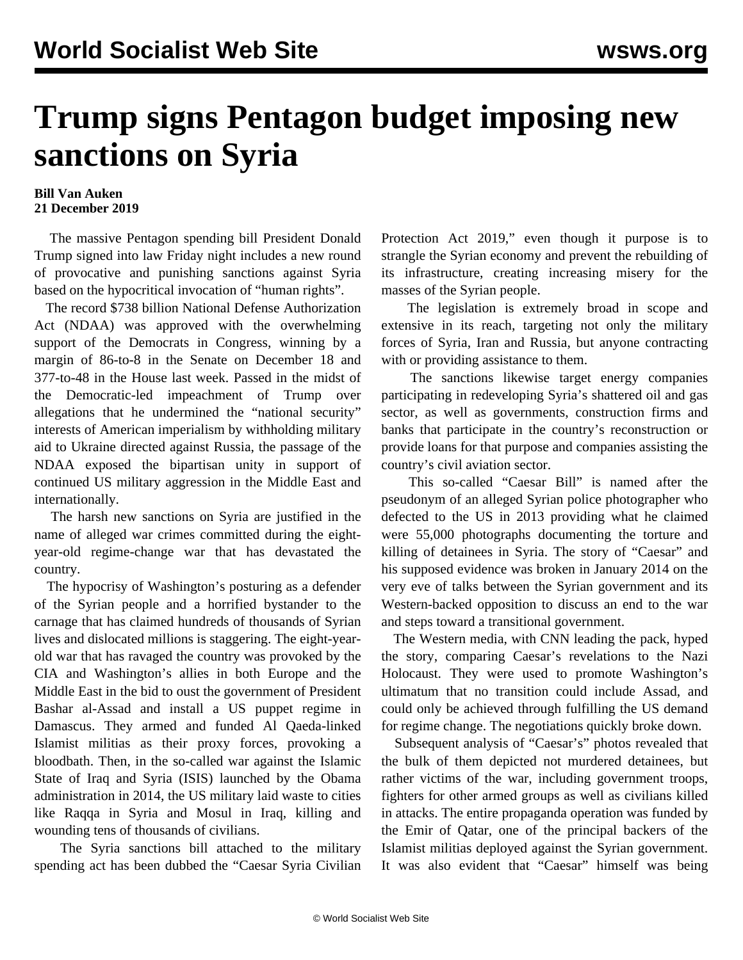## **Trump signs Pentagon budget imposing new sanctions on Syria**

## **Bill Van Auken 21 December 2019**

 The massive Pentagon spending bill President Donald Trump signed into law Friday night includes a new round of provocative and punishing sanctions against Syria based on the hypocritical invocation of "human rights".

 The record \$738 billion National Defense Authorization Act (NDAA) was approved with the overwhelming support of the Democrats in Congress, winning by a margin of 86-to-8 in the Senate on December 18 and 377-to-48 in the House last week. Passed in the midst of the Democratic-led impeachment of Trump over allegations that he undermined the "national security" interests of American imperialism by withholding military aid to Ukraine directed against Russia, the passage of the NDAA exposed the bipartisan unity in support of continued US military aggression in the Middle East and internationally.

 The harsh new sanctions on Syria are justified in the name of alleged war crimes committed during the eightyear-old regime-change war that has devastated the country.

 The hypocrisy of Washington's posturing as a defender of the Syrian people and a horrified bystander to the carnage that has claimed hundreds of thousands of Syrian lives and dislocated millions is staggering. The eight-yearold war that has ravaged the country was provoked by the CIA and Washington's allies in both Europe and the Middle East in the bid to oust the government of President Bashar al-Assad and install a US puppet regime in Damascus. They armed and funded Al Qaeda-linked Islamist militias as their proxy forces, provoking a bloodbath. Then, in the so-called war against the Islamic State of Iraq and Syria (ISIS) launched by the Obama administration in 2014, the US military laid waste to cities like Raqqa in Syria and Mosul in Iraq, killing and wounding tens of thousands of civilians.

 The Syria sanctions bill attached to the military spending act has been dubbed the "Caesar Syria Civilian Protection Act 2019," even though it purpose is to strangle the Syrian economy and prevent the rebuilding of its infrastructure, creating increasing misery for the masses of the Syrian people.

 The legislation is extremely broad in scope and extensive in its reach, targeting not only the military forces of Syria, Iran and Russia, but anyone contracting with or providing assistance to them.

 The sanctions likewise target energy companies participating in redeveloping Syria's shattered oil and gas sector, as well as governments, construction firms and banks that participate in the country's reconstruction or provide loans for that purpose and companies assisting the country's civil aviation sector.

 This so-called "Caesar Bill" is named after the pseudonym of an alleged Syrian police photographer who defected to the US in 2013 providing what he claimed were 55,000 photographs documenting the torture and killing of detainees in Syria. The story of "Caesar" and his supposed evidence was broken in January 2014 on the very eve of talks between the Syrian government and its Western-backed opposition to discuss an end to the war and steps toward a transitional government.

 The Western media, with CNN leading the pack, hyped the story, comparing Caesar's revelations to the Nazi Holocaust. They were used to promote Washington's ultimatum that no transition could include Assad, and could only be achieved through fulfilling the US demand for regime change. The negotiations quickly broke down.

 Subsequent analysis of "Caesar's" photos revealed that the bulk of them depicted not murdered detainees, but rather victims of the war, including government troops, fighters for other armed groups as well as civilians killed in attacks. The entire propaganda operation was funded by the Emir of Qatar, one of the principal backers of the Islamist militias deployed against the Syrian government. It was also evident that "Caesar" himself was being